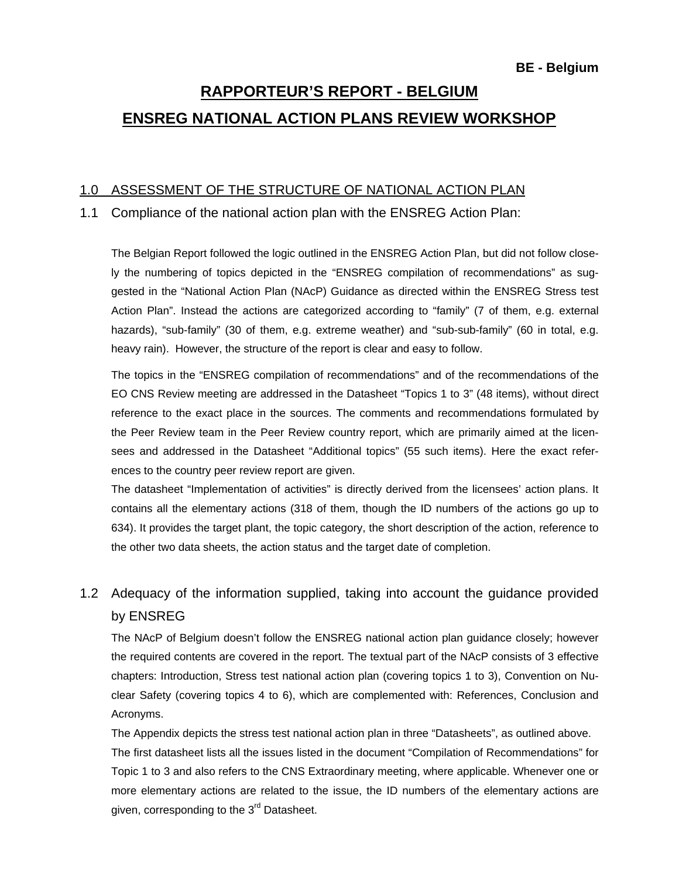# **RAPPORTEUR'S REPORT - BELGIUM ENSREG NATIONAL ACTION PLANS REVIEW WORKSHOP**

### 1.0 ASSESSMENT OF THE STRUCTURE OF NATIONAL ACTION PLAN

#### 1.1 Compliance of the national action plan with the ENSREG Action Plan:

The Belgian Report followed the logic outlined in the ENSREG Action Plan, but did not follow closely the numbering of topics depicted in the "ENSREG compilation of recommendations" as suggested in the "National Action Plan (NAcP) Guidance as directed within the ENSREG Stress test Action Plan". Instead the actions are categorized according to "family" (7 of them, e.g. external hazards), "sub-family" (30 of them, e.g. extreme weather) and "sub-sub-family" (60 in total, e.g. heavy rain). However, the structure of the report is clear and easy to follow.

The topics in the "ENSREG compilation of recommendations" and of the recommendations of the EO CNS Review meeting are addressed in the Datasheet "Topics 1 to 3" (48 items), without direct reference to the exact place in the sources. The comments and recommendations formulated by the Peer Review team in the Peer Review country report, which are primarily aimed at the licensees and addressed in the Datasheet "Additional topics" (55 such items). Here the exact references to the country peer review report are given.

The datasheet "Implementation of activities" is directly derived from the licensees' action plans. It contains all the elementary actions (318 of them, though the ID numbers of the actions go up to 634). It provides the target plant, the topic category, the short description of the action, reference to the other two data sheets, the action status and the target date of completion.

# 1.2 Adequacy of the information supplied, taking into account the guidance provided by ENSREG

 The NAcP of Belgium doesn't follow the ENSREG national action plan guidance closely; however the required contents are covered in the report. The textual part of the NAcP consists of 3 effective chapters: Introduction, Stress test national action plan (covering topics 1 to 3), Convention on Nuclear Safety (covering topics 4 to 6), which are complemented with: References, Conclusion and Acronyms.

The Appendix depicts the stress test national action plan in three "Datasheets", as outlined above.

The first datasheet lists all the issues listed in the document "Compilation of Recommendations" for Topic 1 to 3 and also refers to the CNS Extraordinary meeting, where applicable. Whenever one or more elementary actions are related to the issue, the ID numbers of the elementary actions are given, corresponding to the 3<sup>rd</sup> Datasheet.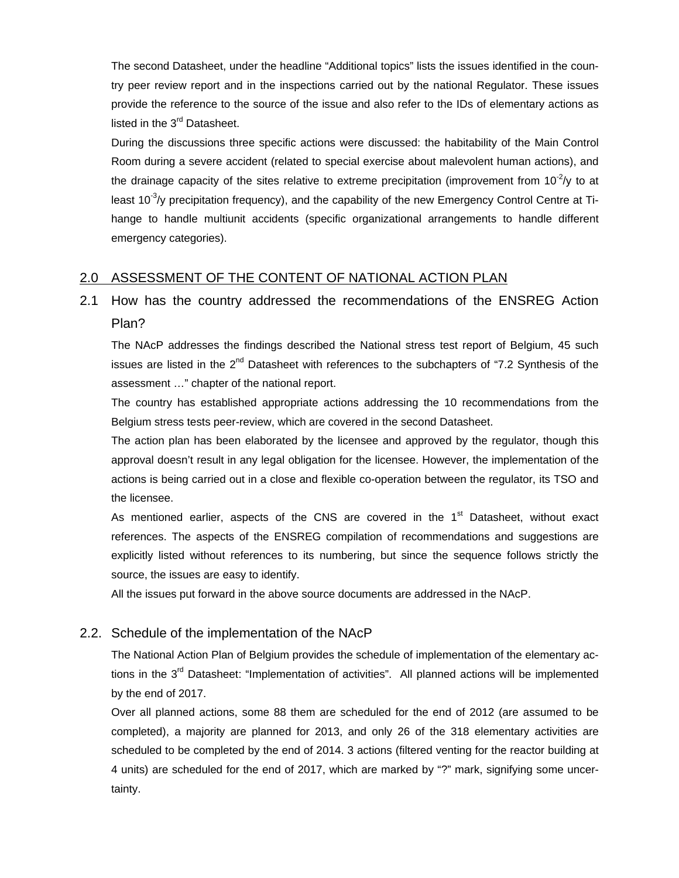The second Datasheet, under the headline "Additional topics" lists the issues identified in the country peer review report and in the inspections carried out by the national Regulator. These issues provide the reference to the source of the issue and also refer to the IDs of elementary actions as listed in the 3<sup>rd</sup> Datasheet.

During the discussions three specific actions were discussed: the habitability of the Main Control Room during a severe accident (related to special exercise about malevolent human actions), and the drainage capacity of the sites relative to extreme precipitation (improvement from  $10^{-2}/y$  to at least  $10^{-3}$ /y precipitation frequency), and the capability of the new Emergency Control Centre at Tihange to handle multiunit accidents (specific organizational arrangements to handle different emergency categories).

### 2.0 ASSESSMENT OF THE CONTENT OF NATIONAL ACTION PLAN

### 2.1 How has the country addressed the recommendations of the ENSREG Action Plan?

 The NAcP addresses the findings described the National stress test report of Belgium, 45 such issues are listed in the 2<sup>nd</sup> Datasheet with references to the subchapters of "7.2 Synthesis of the assessment …" chapter of the national report.

The country has established appropriate actions addressing the 10 recommendations from the Belgium stress tests peer-review, which are covered in the second Datasheet.

The action plan has been elaborated by the licensee and approved by the regulator, though this approval doesn't result in any legal obligation for the licensee. However, the implementation of the actions is being carried out in a close and flexible co-operation between the regulator, its TSO and the licensee.

As mentioned earlier, aspects of the CNS are covered in the  $1<sup>st</sup>$  Datasheet, without exact references. The aspects of the ENSREG compilation of recommendations and suggestions are explicitly listed without references to its numbering, but since the sequence follows strictly the source, the issues are easy to identify.

All the issues put forward in the above source documents are addressed in the NAcP.

### 2.2. Schedule of the implementation of the NAcP

 The National Action Plan of Belgium provides the schedule of implementation of the elementary actions in the 3<sup>rd</sup> Datasheet: "Implementation of activities". All planned actions will be implemented by the end of 2017.

 Over all planned actions, some 88 them are scheduled for the end of 2012 (are assumed to be completed), a majority are planned for 2013, and only 26 of the 318 elementary activities are scheduled to be completed by the end of 2014. 3 actions (filtered venting for the reactor building at 4 units) are scheduled for the end of 2017, which are marked by "?" mark, signifying some uncertainty.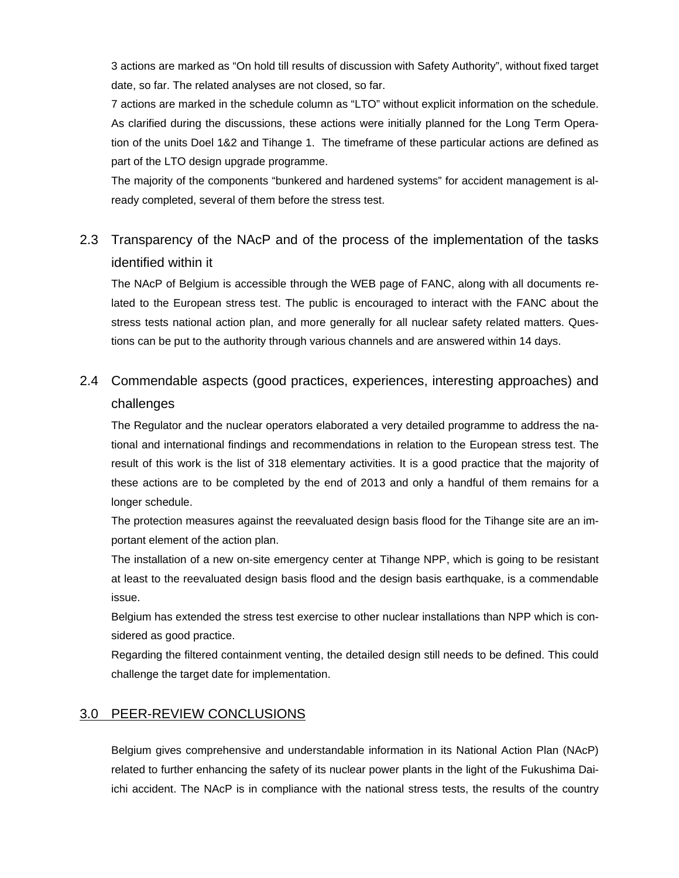3 actions are marked as "On hold till results of discussion with Safety Authority", without fixed target date, so far. The related analyses are not closed, so far.

7 actions are marked in the schedule column as "LTO" without explicit information on the schedule. As clarified during the discussions, these actions were initially planned for the Long Term Operation of the units Doel 1&2 and Tihange 1. The timeframe of these particular actions are defined as part of the LTO design upgrade programme.

The majority of the components "bunkered and hardened systems" for accident management is already completed, several of them before the stress test.

# 2.3 Transparency of the NAcP and of the process of the implementation of the tasks identified within it

 The NAcP of Belgium is accessible through the WEB page of FANC, along with all documents related to the European stress test. The public is encouraged to interact with the FANC about the stress tests national action plan, and more generally for all nuclear safety related matters. Questions can be put to the authority through various channels and are answered within 14 days.

## 2.4 Commendable aspects (good practices, experiences, interesting approaches) and challenges

 The Regulator and the nuclear operators elaborated a very detailed programme to address the national and international findings and recommendations in relation to the European stress test. The result of this work is the list of 318 elementary activities. It is a good practice that the majority of these actions are to be completed by the end of 2013 and only a handful of them remains for a longer schedule.

The protection measures against the reevaluated design basis flood for the Tihange site are an important element of the action plan.

The installation of a new on-site emergency center at Tihange NPP, which is going to be resistant at least to the reevaluated design basis flood and the design basis earthquake, is a commendable issue.

Belgium has extended the stress test exercise to other nuclear installations than NPP which is considered as good practice.

Regarding the filtered containment venting, the detailed design still needs to be defined. This could challenge the target date for implementation.

### 3.0 PEER-REVIEW CONCLUSIONS

Belgium gives comprehensive and understandable information in its National Action Plan (NAcP) related to further enhancing the safety of its nuclear power plants in the light of the Fukushima Daiichi accident. The NAcP is in compliance with the national stress tests, the results of the country